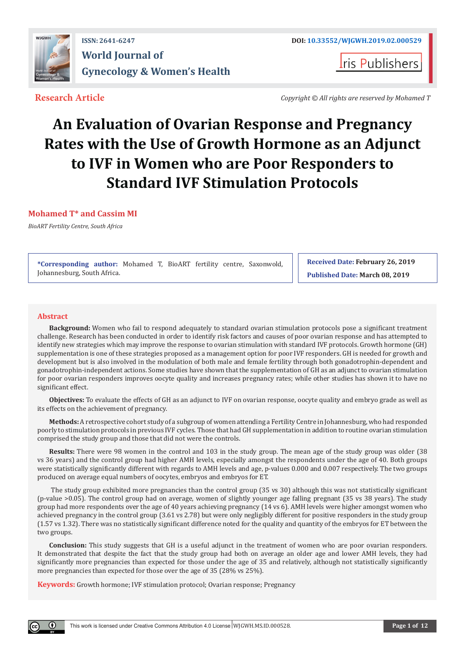

**I**ris Publishers

**Research Article** *Copyright © All rights are reserved by Mohamed T*

# **An Evaluation of Ovarian Response and Pregnancy Rates with the Use of Growth Hormone as an Adjunct to IVF in Women who are Poor Responders to Standard IVF Stimulation Protocols**

# **Mohamed T\* and Cassim MI**

*BioART Fertility Centre, South Africa*

**\*Corresponding author:** Mohamed T, BioART fertility centre, Saxonwold, Johannesburg, South Africa.

**Received Date: February 26, 2019 Published Date: March 08, 2019**

# **Abstract**

 $_{\odot}$ 

**Background:** Women who fail to respond adequately to standard ovarian stimulation protocols pose a significant treatment challenge. Research has been conducted in order to identify risk factors and causes of poor ovarian response and has attempted to identify new strategies which may improve the response to ovarian stimulation with standard IVF protocols. Growth hormone (GH) supplementation is one of these strategies proposed as a management option for poor IVF responders. GH is needed for growth and development but is also involved in the modulation of both male and female fertility through both gonadotrophin-dependent and gonadotrophin-independent actions. Some studies have shown that the supplementation of GH as an adjunct to ovarian stimulation for poor ovarian responders improves oocyte quality and increases pregnancy rates; while other studies has shown it to have no significant effect.

**Objectives:** To evaluate the effects of GH as an adjunct to IVF on ovarian response, oocyte quality and embryo grade as well as its effects on the achievement of pregnancy.

**Methods:** A retrospective cohort study of a subgroup of women attending a Fertility Centre in Johannesburg, who had responded poorly to stimulation protocols in previous IVF cycles. Those that had GH supplementation in addition to routine ovarian stimulation comprised the study group and those that did not were the controls.

**Results:** There were 98 women in the control and 103 in the study group. The mean age of the study group was older (38 vs 36 years) and the control group had higher AMH levels, especially amongst the respondents under the age of 40. Both groups were statistically significantly different with regards to AMH levels and age, p-values 0.000 and 0.007 respectively. The two groups produced on average equal numbers of oocytes, embryos and embryos for ET.

 The study group exhibited more pregnancies than the control group (35 vs 30) although this was not statistically significant (p-value >0.05). The control group had on average, women of slightly younger age falling pregnant (35 vs 38 years). The study group had more respondents over the age of 40 years achieving pregnancy (14 vs 6). AMH levels were higher amongst women who achieved pregnancy in the control group (3.61 vs 2.78) but were only negligibly different for positive responders in the study group (1.57 vs 1.32). There was no statistically significant difference noted for the quality and quantity of the embryos for ET between the two groups.

**Conclusion:** This study suggests that GH is a useful adjunct in the treatment of women who are poor ovarian responders. It demonstrated that despite the fact that the study group had both on average an older age and lower AMH levels, they had significantly more pregnancies than expected for those under the age of 35 and relatively, although not statistically significantly more pregnancies than expected for those over the age of 35 (28% vs 25%).

**Keywords:** Growth hormone; IVF stimulation protocol; Ovarian response; Pregnancy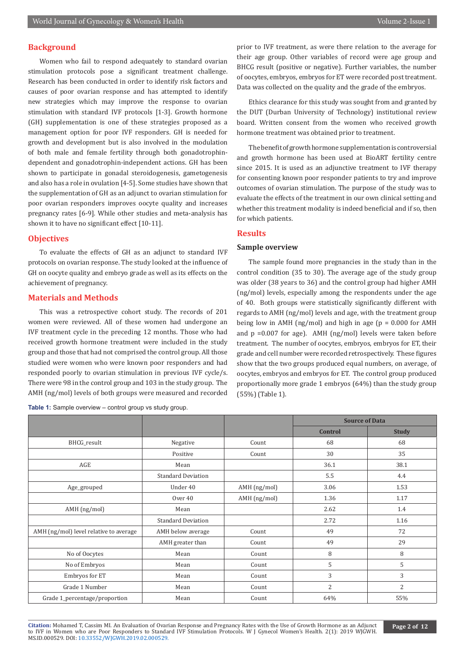# **Background**

Women who fail to respond adequately to standard ovarian stimulation protocols pose a significant treatment challenge. Research has been conducted in order to identify risk factors and causes of poor ovarian response and has attempted to identify new strategies which may improve the response to ovarian stimulation with standard IVF protocols [1-3]. Growth hormone (GH) supplementation is one of these strategies proposed as a management option for poor IVF responders. GH is needed for growth and development but is also involved in the modulation of both male and female fertility through both gonadotrophindependent and gonadotrophin-independent actions. GH has been shown to participate in gonadal steroidogenesis, gametogenesis and also has a role in ovulation [4-5]. Some studies have shown that the supplementation of GH as an adjunct to ovarian stimulation for poor ovarian responders improves oocyte quality and increases pregnancy rates [6-9]. While other studies and meta-analysis has shown it to have no significant effect [10-11].

#### **Objectives**

To evaluate the effects of GH as an adjunct to standard IVF protocols on ovarian response. The study looked at the influence of GH on oocyte quality and embryo grade as well as its effects on the achievement of pregnancy.

### **Materials and Methods**

This was a retrospective cohort study. The records of 201 women were reviewed. All of these women had undergone an IVF treatment cycle in the preceding 12 months. Those who had received growth hormone treatment were included in the study group and those that had not comprised the control group. All those studied were women who were known poor responders and had responded poorly to ovarian stimulation in previous IVF cycle/s. There were 98 in the control group and 103 in the study group. The AMH (ng/mol) levels of both groups were measured and recorded

**Table 1:** Sample overview – control group vs study group.

prior to IVF treatment, as were there relation to the average for their age group. Other variables of record were age group and BHCG result (positive or negative). Further variables, the number of oocytes, embryos, embryos for ET were recorded post treatment. Data was collected on the quality and the grade of the embryos.

Ethics clearance for this study was sought from and granted by the DUT (Durban University of Technology) institutional review board. Written consent from the women who received growth hormone treatment was obtained prior to treatment.

The benefit of growth hormone supplementation is controversial and growth hormone has been used at BioART fertility centre since 2015. It is used as an adjunctive treatment to IVF therapy for consenting known poor responder patients to try and improve outcomes of ovarian stimulation. The purpose of the study was to evaluate the effects of the treatment in our own clinical setting and whether this treatment modality is indeed beneficial and if so, then for which patients.

#### **Results**

#### **Sample overview**

The sample found more pregnancies in the study than in the control condition (35 to 30). The average age of the study group was older (38 years to 36) and the control group had higher AMH (ng/mol) levels, especially among the respondents under the age of 40. Both groups were statistically significantly different with regards to AMH (ng/mol) levels and age, with the treatment group being low in AMH (ng/mol) and high in age ( $p = 0.000$  for AMH and p =0.007 for age). AMH (ng/mol) levels were taken before treatment. The number of oocytes, embryos, embryos for ET, their grade and cell number were recorded retrospectively. These figures show that the two groups produced equal numbers, on average, of oocytes, embryos and embryos for ET. The control group produced proportionally more grade 1 embryos (64%) than the study group (55%) (Table 1).

|                                        |                           |              | <b>Source of Data</b> |              |
|----------------------------------------|---------------------------|--------------|-----------------------|--------------|
|                                        |                           |              | Control               | <b>Study</b> |
| BHCG_result                            | Negative                  | Count        | 68                    | 68           |
|                                        | Positive                  | Count        | 30                    | 35           |
| AGE                                    | Mean                      |              | 36.1                  | 38.1         |
|                                        | <b>Standard Deviation</b> |              | 5.5                   | 4.4          |
| Age_grouped                            | Under 40                  | AMH (ng/mol) | 3.06                  | 1.53         |
|                                        | Over 40                   | AMH (ng/mol) | 1.36                  | 1.17         |
| $AMH$ (ng/mol)                         | Mean                      |              | 2.62                  | 1.4          |
|                                        | <b>Standard Deviation</b> |              | 2.72                  | 1.16         |
| AMH (ng/mol) level relative to average | AMH below average         | Count        | 49                    | 72           |
|                                        | AMH greater than          | Count        | 49                    | 29           |
| No of Oocytes                          | Mean                      | Count        | 8                     | 8            |
| No of Embryos                          | Mean                      | Count        | 5                     | 5            |
| Embryos for ET                         | Mean                      | Count        | 3                     | 3            |
| Grade 1 Number                         | Mean                      | Count        | $\overline{2}$        | 2            |
| Grade 1_percentage/proportion          | Mean                      | Count        | 64%                   | 55%          |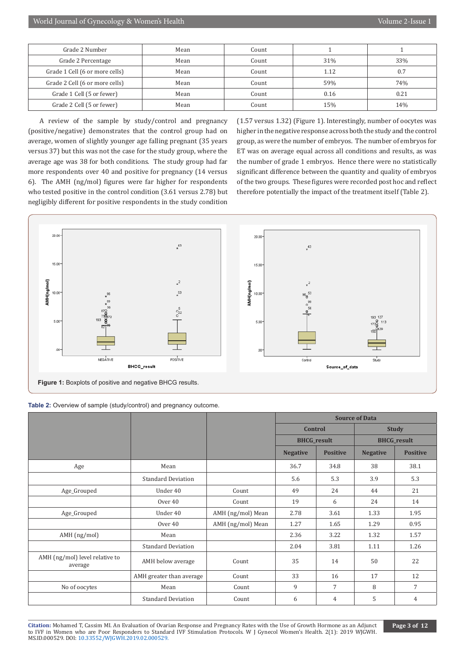| Grade 2 Number                 | Mean | Count |      |      |
|--------------------------------|------|-------|------|------|
| Grade 2 Percentage             | Mean | Count | 31%  | 33%  |
| Grade 1 Cell (6 or more cells) | Mean | Count | 1.12 | 0.7  |
| Grade 2 Cell (6 or more cells) | Mean | Count | 59%  | 74%  |
| Grade 1 Cell (5 or fewer)      | Mean | Count | 0.16 | 0.21 |
| Grade 2 Cell (5 or fewer)      | Mean | Count | 15%  | 14%  |

A review of the sample by study/control and pregnancy (positive/negative) demonstrates that the control group had on average, women of slightly younger age falling pregnant (35 years versus 37) but this was not the case for the study group, where the average age was 38 for both conditions. The study group had far more respondents over 40 and positive for pregnancy (14 versus 6). The AMH (ng/mol) figures were far higher for respondents who tested positive in the control condition (3.61 versus 2.78) but negligibly different for positive respondents in the study condition (1.57 versus 1.32) (Figure 1). Interestingly, number of oocytes was higher in the negative response across both the study and the control group, as were the number of embryos. The number of embryos for ET was on average equal across all conditions and results, as was the number of grade 1 embryos. Hence there were no statistically significant difference between the quantity and quality of embryos of the two groups. These figures were recorded post hoc and reflect therefore potentially the impact of the treatment itself (Table 2).



|                                           |                           |                   | <b>Source of Data</b> |                 |                 |                    |
|-------------------------------------------|---------------------------|-------------------|-----------------------|-----------------|-----------------|--------------------|
|                                           |                           |                   | <b>Control</b>        |                 |                 | <b>Study</b>       |
|                                           |                           |                   | <b>BHCG_result</b>    |                 |                 | <b>BHCG</b> result |
|                                           |                           |                   | <b>Negative</b>       | <b>Positive</b> | <b>Negative</b> | <b>Positive</b>    |
| Age                                       | Mean                      |                   | 36.7                  | 34.8            | 38              | 38.1               |
|                                           | <b>Standard Deviation</b> |                   | 5.6                   | 5.3             | 3.9             | 5.3                |
| Age_Grouped                               | Under 40                  | Count             | 49                    | 24              | 44              | 21                 |
|                                           | Over 40                   | Count             | 19                    | 6               | 24              | 14                 |
| Age_Grouped                               | Under 40                  | AMH (ng/mol) Mean | 2.78                  | 3.61            | 1.33            | 1.95               |
|                                           | Over 40                   | AMH (ng/mol) Mean | 1.27                  | 1.65            | 1.29            | 0.95               |
| AMH (ng/mol)                              | Mean                      |                   | 2.36                  | 3.22            | 1.32            | 1.57               |
|                                           | <b>Standard Deviation</b> |                   | 2.04                  | 3.81            | 1.11            | 1.26               |
| AMH (ng/mol) level relative to<br>average | AMH below average         | Count             | 35                    | 14              | 50              | 22                 |
|                                           | AMH greater than average  | Count             | 33                    | 16              | 17              | 12                 |
| No of oocytes                             | Mean                      | Count             | 9                     | 7               | 8               | 7                  |
|                                           | <b>Standard Deviation</b> | Count             | 6                     | 4               | 5               | 4                  |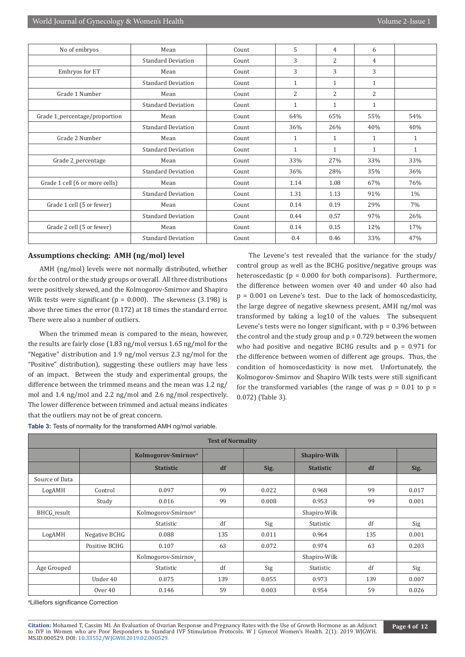| No of embryos                  | Mean                      | Count | 5              | 4              | 6              |              |
|--------------------------------|---------------------------|-------|----------------|----------------|----------------|--------------|
|                                | <b>Standard Deviation</b> | Count | 3              | 2              | 4              |              |
| Embryos for ET                 | Mean                      | Count | 3              | 3              | 3              |              |
|                                | <b>Standard Deviation</b> | Count | $\mathbf{1}$   | $\mathbf{1}$   | $\mathbf{1}$   |              |
| Grade 1 Number                 | Mean                      | Count | $\overline{2}$ | $\overline{2}$ | $\overline{2}$ |              |
|                                | <b>Standard Deviation</b> | Count | $\mathbf{1}$   | 1              | $\mathbf{1}$   |              |
| Grade 1_percentage/proportion  | Mean                      | Count | 64%            | 65%            | 55%            | 54%          |
|                                | <b>Standard Deviation</b> | Count | 36%            | 26%            | 40%            | 40%          |
| Grade 2 Number                 | Mean                      | Count | 1              | 1              | $\mathbf{1}$   | 1            |
|                                | <b>Standard Deviation</b> | Count | $\mathbf{1}$   | $\mathbf{1}$   | $\mathbf{1}$   | $\mathbf{1}$ |
| Grade 2_percentage             | Mean                      | Count | 33%            | 27%            | 33%            | 33%          |
|                                | <b>Standard Deviation</b> | Count | 36%            | 28%            | 35%            | 36%          |
| Grade 1 cell (6 or more cells) | Mean                      | Count | 1.14           | 1.08           | 67%            | 76%          |
|                                | <b>Standard Deviation</b> | Count | 1.31           | 1.13           | 91%            | $1\%$        |
| Grade 1 cell (5 or fewer)      | Mean                      | Count | 0.14           | 0.19           | 29%            | 7%           |
|                                | <b>Standard Deviation</b> | Count | 0.44           | 0.57           | 97%            | 26%          |
| Grade 2 cell (5 or fewer)      | Mean                      | Count | 0.14           | 0.15           | 12%            | 17%          |
|                                | <b>Standard Deviation</b> | Count | 0.4            | 0.46           | 33%            | 47%          |

#### **Assumptions checking: AMH (ng/mol) level**

AMH (ng/mol) levels were not normally distributed, whether for the control or the study groups or overall. All three distributions were positively skewed, and the Kolmogorov-Smirnov and Shapiro Wilk tests were significant ( $p = 0.000$ ). The skewness (3.198) is above three times the error (0.172) at 18 times the standard error. There were also a number of outliers.

When the trimmed mean is compared to the mean, however, the results are fairly close (1.83 ng/mol versus 1.65 ng/mol for the "Negative" distribution and 1.9 ng/mol versus 2.3 ng/mol for the "Positive" distribution), suggesting these outliers may have less of an impact. Between the study and experimental groups, the difference between the trimmed means and the mean was 1.2 ng/ mol and 1.4 ng/mol and 2.2 ng/mol and 2.6 ng/mol respectively. The lower difference between trimmed and actual means indicates that the outliers may not be of great concern.

The Levene's test revealed that the variance for the study/ control group as well as the BCHG positive/negative groups was heteroscedastic ( $p = 0.000$  for both comparisons). Furthermore, the difference between women over 40 and under 40 also had p = 0.001 on Levene's test. Due to the lack of homoscedasticity, the large degree of negative skewness present, AMH ng/mol was transformed by taking a log10 of the values. The subsequent Levene's tests were no longer significant, with  $p = 0.396$  between the control and the study group and  $p = 0.729$  between the women who had positive and negative BCHG results and  $p = 0.971$  for the difference between women of different age groups. Thus, the condition of homoscedasticity is now met. Unfortunately, the Kolmogorov-Smirnov and Shapiro Wilk tests were still significant for the transformed variables (the range of was  $p = 0.01$  to  $p =$ 0.072) (Table 3).

**Table 3:** Tests of normality for the transformed AMH ng/mol variable.

| <b>Test of Normality</b> |               |                                 |     |       |                     |     |       |  |
|--------------------------|---------------|---------------------------------|-----|-------|---------------------|-----|-------|--|
|                          |               | Kolmogorov-Smirnov <sup>a</sup> |     |       | <b>Shapiro-Wilk</b> |     |       |  |
|                          |               | <b>Statistic</b>                | df  | Sig.  | <b>Statistic</b>    | df  | Sig.  |  |
| Source of Data           |               |                                 |     |       |                     |     |       |  |
| LogAMH                   | Control       | 0.097                           | 99  | 0.022 | 0.968               | 99  | 0.017 |  |
|                          | Study         | 0.016                           | 99  | 0.008 | 0.953               | 99  | 0.001 |  |
| BHCG_result              |               | Kolmogorov-Smirnov <sup>a</sup> |     |       | Shapiro-Wilk        |     |       |  |
|                          |               | Statistic                       | df  | Sig   | Statistic           | df  | Sig   |  |
| LogAMH                   | Negative BCHG | 0.088                           | 135 | 0.011 | 0.964               | 135 | 0.001 |  |
|                          | Positive BCHG | 0.107                           | 63  | 0.072 | 0.974               | 63  | 0.203 |  |
|                          |               | Kolmogorov-Smirnov <sub>a</sub> |     |       | Shapiro-Wilk        |     |       |  |
| Age Grouped              |               | Statistic                       | df  | Sig   | Statistic           | df  | Sig   |  |
|                          | Under 40      | 0.075                           | 139 | 0.055 | 0.973               | 139 | 0.007 |  |
|                          | Over 40       | 0.146                           | 59  | 0.003 | 0.954               | 59  | 0.026 |  |

a Lilliefors significance Correction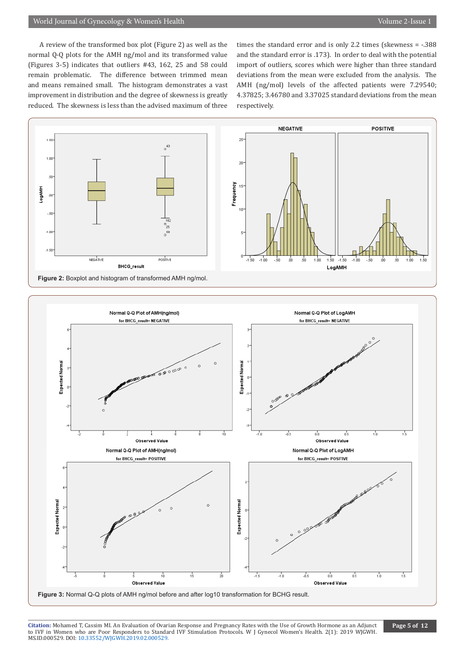A review of the transformed box plot (Figure 2) as well as the normal Q-Q plots for the AMH ng/mol and its transformed value (Figures 3-5) indicates that outliers #43, 162, 25 and 58 could remain problematic. The difference between trimmed mean and means remained small. The histogram demonstrates a vast improvement in distribution and the degree of skewness is greatly reduced. The skewness is less than the advised maximum of three times the standard error and is only 2.2 times (skewness = -.388 and the standard error is .173). In order to deal with the potential import of outliers, scores which were higher than three standard deviations from the mean were excluded from the analysis. The AMH (ng/mol) levels of the affected patients were 7.29540; 4.37825; 3.46780 and 3.37025 standard deviations from the mean respectively.

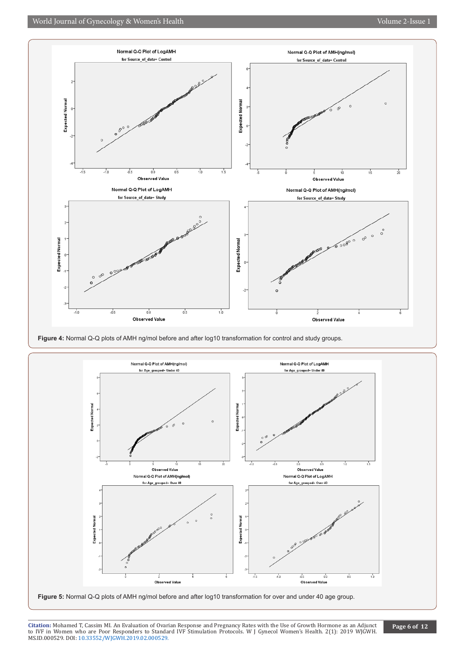





**Figure 5:** Normal Q-Q plots of AMH ng/mol before and after log10 transformation for over and under 40 age group.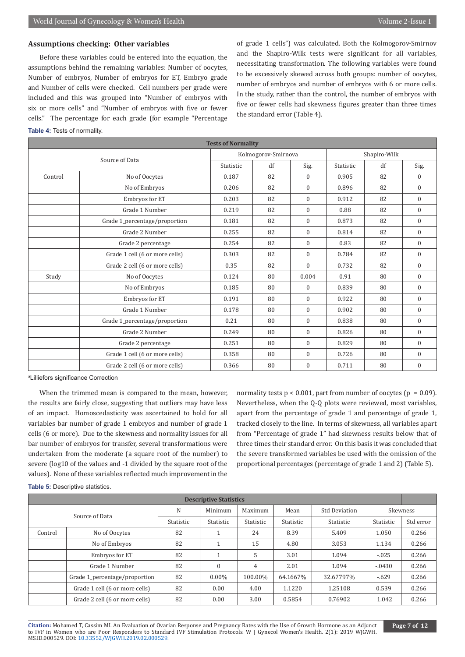#### **Assumptions checking: Other variables**

Before these variables could be entered into the equation, the assumptions behind the remaining variables: Number of oocytes, Number of embryos, Number of embryos for ET, Embryo grade and Number of cells were checked. Cell numbers per grade were included and this was grouped into "Number of embryos with six or more cells" and "Number of embryos with five or fewer cells." The percentage for each grade (for example "Percentage of grade 1 cells") was calculated. Both the Kolmogorov-Smirnov and the Shapiro-Wilk tests were significant for all variables, necessitating transformation. The following variables were found to be excessively skewed across both groups: number of oocytes, number of embryos and number of embryos with 6 or more cells. In the study, rather than the control, the number of embryos with five or fewer cells had skewness figures greater than three times the standard error (Table 4).

#### **Table 4:** Tests of normality.

| <b>Tests of Normality</b> |                                |       |                     |                  |              |      |                  |
|---------------------------|--------------------------------|-------|---------------------|------------------|--------------|------|------------------|
|                           | Source of Data                 |       | Kolmogorov-Smirnova |                  | Shapiro-Wilk |      |                  |
|                           | Statistic                      | df    | Sig.                | Statistic        | df           | Sig. |                  |
| Control                   | No of Oocytes                  | 0.187 | 82                  | $\mathbf{0}$     | 0.905        | 82   | $\boldsymbol{0}$ |
|                           | No of Embryos                  | 0.206 | 82                  | $\Omega$         | 0.896        | 82   | $\mathbf{0}$     |
|                           | Embryos for ET                 | 0.203 | 82                  | $\mathbf{0}$     | 0.912        | 82   | $\mathbf{0}$     |
|                           | Grade 1 Number                 | 0.219 | 82                  | $\Omega$         | 0.88         | 82   | $\mathbf{0}$     |
|                           | Grade 1_percentage/proportion  | 0.181 | 82                  | $\mathbf{0}$     | 0.873        | 82   | $\mathbf{0}$     |
|                           | Grade 2 Number                 | 0.255 | 82                  | $\mathbf{0}$     | 0.814        | 82   | $\mathbf{0}$     |
|                           | Grade 2 percentage             | 0.254 | 82                  | $\overline{0}$   | 0.83         | 82   | $\mathbf{0}$     |
|                           | Grade 1 cell (6 or more cells) | 0.303 | 82                  | $\mathbf{0}$     | 0.784        | 82   | $\mathbf{0}$     |
|                           | Grade 2 cell (6 or more cells) | 0.35  | 82                  | $\Omega$         | 0.732        | 82   | $\mathbf{0}$     |
| Study                     | No of Oocytes                  | 0.124 | 80                  | 0.004            | 0.91         | 80   | $\mathbf{0}$     |
|                           | No of Embryos                  | 0.185 | 80                  | $\mathbf{0}$     | 0.839        | 80   | $\mathbf{0}$     |
|                           | Embryos for ET                 | 0.191 | 80                  | $\Omega$         | 0.922        | 80   | $\mathbf{0}$     |
|                           | Grade 1 Number                 | 0.178 | 80                  | $\overline{0}$   | 0.902        | 80   | $\mathbf{0}$     |
|                           | Grade 1_percentage/proportion  | 0.21  | 80                  | $\overline{0}$   | 0.838        | 80   | $\mathbf{0}$     |
|                           | Grade 2 Number                 | 0.249 | 80                  | $\mathbf{0}$     | 0.826        | 80   | $\boldsymbol{0}$ |
|                           | Grade 2 percentage             | 0.251 | 80                  | $\mathbf{0}$     | 0.829        | 80   | $\mathbf{0}$     |
|                           | Grade 1 cell (6 or more cells) | 0.358 | 80                  | $\mathbf{0}$     | 0.726        | 80   | $\mathbf{0}$     |
|                           | Grade 2 cell (6 or more cells) | 0.366 | 80                  | $\boldsymbol{0}$ | 0.711        | 80   | $\boldsymbol{0}$ |

a Lilliefors significance Correction

When the trimmed mean is compared to the mean, however, the results are fairly close, suggesting that outliers may have less of an impact. Homoscedasticity was ascertained to hold for all variables bar number of grade 1 embryos and number of grade 1 cells (6 or more). Due to the skewness and normality issues for all bar number of embryos for transfer, several transformations were undertaken from the moderate (a square root of the number) to severe (log10 of the values and -1 divided by the square root of the values). None of these variables reflected much improvement in the

normality tests  $p < 0.001$ , part from number of oocytes ( $p = 0.09$ ). Nevertheless, when the Q-Q plots were reviewed, most variables, apart from the percentage of grade 1 and percentage of grade 1, tracked closely to the line. In terms of skewness, all variables apart from "Percentage of grade 1" had skewness results below that of three times their standard error. On this basis it was concluded that the severe transformed variables be used with the omission of the proportional percentages (percentage of grade 1 and 2) (Table 5).

**Table 5:** Descriptive statistics.

| <b>Descriptive Statistics</b> |                                |           |           |                |           |                      |           |           |
|-------------------------------|--------------------------------|-----------|-----------|----------------|-----------|----------------------|-----------|-----------|
|                               | Source of Data                 | N         | Minimum   | Maximum        | Mean      | <b>Std Deviation</b> |           | Skewness  |
|                               |                                | Statistic | Statistic | Statistic      | Statistic | Statistic            | Statistic | Std error |
| Control                       | No of Oocytes                  | 82        |           | 24             | 8.39      | 5.409                | 1.050     | 0.266     |
|                               | No of Embryos                  | 82        |           | 15             | 4.80      | 3.053                | 1.134     | 0.266     |
|                               | Embryos for ET                 | 82        |           | 5              | 3.01      | 1.094                | $-.025$   | 0.266     |
|                               | Grade 1 Number                 | 82        | $\Omega$  | $\overline{4}$ | 2.01      | 1.094                | $-.0430$  | 0.266     |
|                               | Grade 1_percentage/proportion  | 82        | $0.00\%$  | 100.00%        | 64.1667%  | 32.67797%            | $-.629$   | 0.266     |
|                               | Grade 1 cell (6 or more cells) | 82        | 0.00      | 4.00           | 1.1220    | 1.25108              | 0.539     | 0.266     |
|                               | Grade 2 cell (6 or more cells) | 82        | 0.00      | 3.00           | 0.5854    | 0.76902              | 1.042     | 0.266     |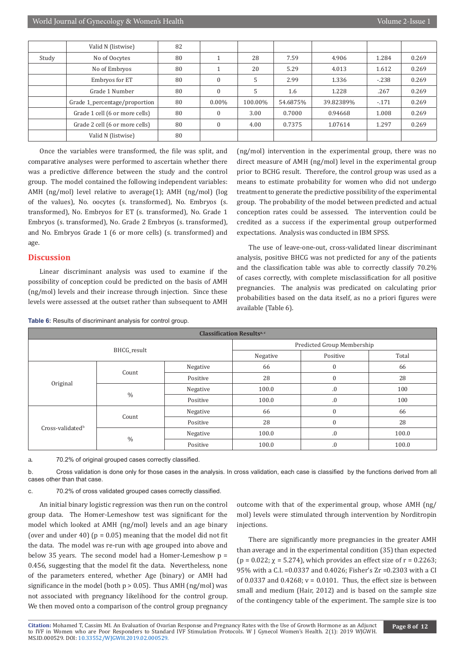|       | Valid N (listwise)             | 82 |              |         |          |           |        |       |
|-------|--------------------------------|----|--------------|---------|----------|-----------|--------|-------|
| Study | No of Oocytes                  | 80 |              | 28      | 7.59     | 4.906     | 1.284  | 0.269 |
|       | No of Embryos                  | 80 |              | 20      | 5.29     | 4.013     | 1.612  | 0.269 |
|       | Embryos for ET                 | 80 | $\mathbf{0}$ | 5       | 2.99     | 1.336     | $-238$ | 0.269 |
|       | Grade 1 Number                 | 80 | $\mathbf{0}$ | 5       | 1.6      | 1.228     | .267   | 0.269 |
|       | Grade 1_percentage/proportion  | 80 | $0.00\%$     | 100.00% | 54.6875% | 39.82389% | $-171$ | 0.269 |
|       | Grade 1 cell (6 or more cells) | 80 | $\Omega$     | 3.00    | 0.7000   | 0.94668   | 1.008  | 0.269 |
|       | Grade 2 cell (6 or more cells) | 80 | $\mathbf{0}$ | 4.00    | 0.7375   | 1.07614   | 1.297  | 0.269 |
|       | Valid N (listwise)             | 80 |              |         |          |           |        |       |

Once the variables were transformed, the file was split, and comparative analyses were performed to ascertain whether there was a predictive difference between the study and the control group. The model contained the following independent variables: AMH (ng/mol) level relative to average(1); AMH (ng/mol) (log of the values), No. oocytes (s. transformed), No. Embryos (s. transformed), No. Embryos for ET (s. transformed), No. Grade 1 Embryos (s. transformed), No. Grade 2 Embryos (s. transformed), and No. Embryos Grade 1 (6 or more cells) (s. transformed) and age.

# **Discussion**

Linear discriminant analysis was used to examine if the possibility of conception could be predicted on the basis of AMH (ng/mol) levels and their increase through injection. Since these levels were assessed at the outset rather than subsequent to AMH (ng/mol) intervention in the experimental group, there was no direct measure of AMH (ng/mol) level in the experimental group prior to BCHG result. Therefore, the control group was used as a means to estimate probability for women who did not undergo treatment to generate the predictive possibility of the experimental group. The probability of the model between predicted and actual conception rates could be assessed. The intervention could be credited as a success if the experimental group outperformed expectations. Analysis was conducted in IBM SPSS.

The use of leave-one-out, cross-validated linear discriminant analysis, positive BHCG was not predicted for any of the patients and the classification table was able to correctly classify 70.2% of cases correctly, with complete misclassification for all positive pregnancies. The analysis was predicated on calculating prior probabilities based on the data itself, as no a priori figures were available (Table 6).

**Table 6:** Results of discriminant analysis for control group.

| <b>TWO OF INCOUNTS</b> OF GIGOINIMUM CHICATORY SHOWED TO THE OF SHOW. |               |          |          |                  |       |  |  |  |  |
|-----------------------------------------------------------------------|---------------|----------|----------|------------------|-------|--|--|--|--|
| <b>Classification Resultsa,c</b>                                      |               |          |          |                  |       |  |  |  |  |
| Predicted Group Membership                                            |               |          |          |                  |       |  |  |  |  |
| BHCG_result                                                           |               |          | Negative | Positive         | Total |  |  |  |  |
|                                                                       | Count         | Negative | 66       | 0                | 66    |  |  |  |  |
|                                                                       |               | Positive | 28       | $\boldsymbol{0}$ | 28    |  |  |  |  |
| Original                                                              | $\frac{0}{0}$ | Negative | 100.0    | .0               | 100   |  |  |  |  |
|                                                                       |               | Positive | 100.0    | .0               | 100   |  |  |  |  |
|                                                                       |               | Negative | 66       | $\mathbf{0}$     | 66    |  |  |  |  |
|                                                                       | Count         | Positive | 28       | $\mathbf{0}$     | 28    |  |  |  |  |
| Cross-validated <sup>b</sup>                                          |               | Negative | 100.0    | .0               | 100.0 |  |  |  |  |
|                                                                       | $\frac{0}{0}$ | Positive | 100.0    | 0.               | 100.0 |  |  |  |  |

a. 70.2% of original grouped cases correctly classified.

b. Cross validation is done only for those cases in the analysis. In cross validation, each case is classified by the functions derived from all cases other than that case.

c. 70.2% of cross validated grouped cases correctly classified.

An initial binary logistic regression was then run on the control group data. The Homer-Lemeshow test was significant for the model which looked at AMH (ng/mol) levels and an age binary (over and under 40) ( $p = 0.05$ ) meaning that the model did not fit the data. The model was re-run with age grouped into above and below 35 years. The second model had a Homer-Lemeshow p = 0.456, suggesting that the model fit the data. Nevertheless, none of the parameters entered, whether Age (binary) or AMH had significance in the model (both  $p > 0.05$ ). Thus AMH (ng/mol) was not associated with pregnancy likelihood for the control group. We then moved onto a comparison of the control group pregnancy

outcome with that of the experimental group, whose AMH (ng/ mol) levels were stimulated through intervention by Norditropin injections.

There are significantly more pregnancies in the greater AMH than average and in the experimental condition (35) than expected (p = 0.022;  $\chi$  = 5.274), which provides an effect size of r = 0.2263; 95% with a C.I. =0.0337 and 0.4026; Fisher's Zr =0.2303 with a CI of  $0.0337$  and  $0.4268$ ;  $v = 0.0101$ . Thus, the effect size is between small and medium (Hair, 2012) and is based on the sample size of the contingency table of the experiment. The sample size is too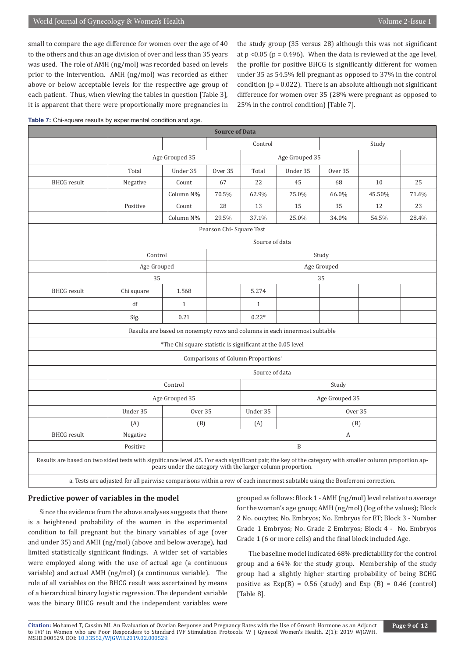small to compare the age difference for women over the age of 40 to the others and thus an age division of over and less than 35 years was used. The role of AMH (ng/mol) was recorded based on levels prior to the intervention. AMH (ng/mol) was recorded as either above or below acceptable levels for the respective age group of each patient. Thus, when viewing the tables in question [Table 3], it is apparent that there were proportionally more pregnancies in

the study group (35 versus 28) although this was not significant at  $p < 0.05$  ( $p = 0.496$ ). When the data is reviewed at the age level, the profile for positive BHCG is significantly different for women under 35 as 54.5% fell pregnant as opposed to 37% in the control condition ( $p = 0.022$ ). There is an absolute although not significant difference for women over 35 (28% were pregnant as opposed to 25% in the control condition) [Table 7].

**Table 7:** Chi-square results by experimental condition and age.

| <b>Source of Data</b>                                                                                                                                   |                                                                                                                             |                                                                           |         |                                                |                |                |        |       |
|---------------------------------------------------------------------------------------------------------------------------------------------------------|-----------------------------------------------------------------------------------------------------------------------------|---------------------------------------------------------------------------|---------|------------------------------------------------|----------------|----------------|--------|-------|
|                                                                                                                                                         |                                                                                                                             |                                                                           |         | Control                                        |                |                | Study  |       |
|                                                                                                                                                         |                                                                                                                             | Age Grouped 35                                                            |         |                                                | Age Grouped 35 |                |        |       |
|                                                                                                                                                         | Total                                                                                                                       | Under 35                                                                  | Over 35 | Total                                          | Under 35       | Over 35        |        |       |
| <b>BHCG</b> result                                                                                                                                      | Negative                                                                                                                    | Count                                                                     | 67      | 22                                             | 45             | 68             | 10     | 25    |
|                                                                                                                                                         |                                                                                                                             | Column N%                                                                 | 70.5%   | 62.9%                                          | 75.0%          | 66.0%          | 45.50% | 71.6% |
|                                                                                                                                                         | Positive                                                                                                                    | Count                                                                     | 28      | 13                                             | 15             | 35             | 12     | 23    |
|                                                                                                                                                         |                                                                                                                             | Column N%                                                                 | 29.5%   | 37.1%                                          | 25.0%          | 34.0%          | 54.5%  | 28.4% |
| Pearson Chi-Square Test                                                                                                                                 |                                                                                                                             |                                                                           |         |                                                |                |                |        |       |
|                                                                                                                                                         |                                                                                                                             |                                                                           |         | Source of data                                 |                |                |        |       |
|                                                                                                                                                         | Control                                                                                                                     |                                                                           |         |                                                |                | Study          |        |       |
|                                                                                                                                                         | Age Grouped                                                                                                                 |                                                                           |         |                                                |                | Age Grouped    |        |       |
|                                                                                                                                                         | 35                                                                                                                          |                                                                           | 35      |                                                |                |                |        |       |
| <b>BHCG</b> result                                                                                                                                      | Chi square                                                                                                                  | 1.568                                                                     |         | 5.274                                          |                |                |        |       |
|                                                                                                                                                         | df                                                                                                                          | $\mathbf{1}$                                                              |         | $\mathbf{1}$                                   |                |                |        |       |
|                                                                                                                                                         | Sig.                                                                                                                        | 0.21                                                                      |         | $0.22*$                                        |                |                |        |       |
|                                                                                                                                                         |                                                                                                                             | Results are based on nonempty rows and columns in each innermost subtable |         |                                                |                |                |        |       |
|                                                                                                                                                         |                                                                                                                             | *The Chi square statistic is significant at the 0.05 level                |         |                                                |                |                |        |       |
|                                                                                                                                                         |                                                                                                                             |                                                                           |         | Comparisons of Column Proportions <sup>a</sup> |                |                |        |       |
|                                                                                                                                                         |                                                                                                                             |                                                                           |         | Source of data                                 |                |                |        |       |
|                                                                                                                                                         |                                                                                                                             | Control                                                                   |         |                                                |                | Study          |        |       |
|                                                                                                                                                         |                                                                                                                             | Age Grouped 35                                                            |         |                                                |                | Age Grouped 35 |        |       |
|                                                                                                                                                         | Under 35                                                                                                                    | Over 35                                                                   |         | Under 35                                       |                | Over 35        |        |       |
|                                                                                                                                                         | (A)                                                                                                                         | (B)                                                                       |         | (A)                                            |                | (B)            |        |       |
| <b>BHCG</b> result                                                                                                                                      | Negative                                                                                                                    |                                                                           |         |                                                |                | А              |        |       |
|                                                                                                                                                         | Positive                                                                                                                    |                                                                           |         |                                                | $\overline{B}$ |                |        |       |
| Results are based on two sided tests with significance level .05. For each significant pair, the key of the category with smaller column proportion ap- | a. Tests are adjusted for all pairwise comparisons within a row of each innermost subtable using the Bonferroni correction. | pears under the category with the larger column proportion.               |         |                                                |                |                |        |       |

#### **Predictive power of variables in the model**

Since the evidence from the above analyses suggests that there is a heightened probability of the women in the experimental condition to fall pregnant but the binary variables of age (over and under 35) and AMH (ng/mol) (above and below average), had limited statistically significant findings. A wider set of variables were employed along with the use of actual age (a continuous variable) and actual AMH (ng/mol) (a continuous variable). The role of all variables on the BHCG result was ascertained by means of a hierarchical binary logistic regression. The dependent variable was the binary BHCG result and the independent variables were grouped as follows: Block 1 - AMH (ng/mol) level relative to average for the woman's age group; AMH (ng/mol) (log of the values); Block 2 No. oocytes; No. Embryos; No. Embryos for ET; Block 3 - Number Grade 1 Embryos; No. Grade 2 Embryos; Block 4 - No. Embryos Grade 1 (6 or more cells) and the final block included Age.

The baseline model indicated 68% predictability for the control group and a 64% for the study group. Membership of the study group had a slightly higher starting probability of being BCHG positive as  $Exp(B) = 0.56$  (study) and  $Exp(B) = 0.46$  (control) [Table 8].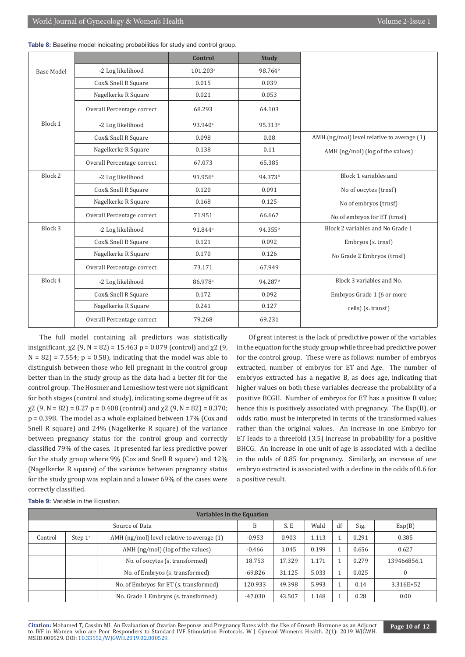|                   |                            | <b>Control</b>       | <b>Study</b>        |                                            |
|-------------------|----------------------------|----------------------|---------------------|--------------------------------------------|
| <b>Base Model</b> | -2 Log likelihood          | 101.203 <sup>a</sup> | 98.764 <sup>b</sup> |                                            |
|                   | Cox& Snell R Square        | 0.015                | 0.039               |                                            |
|                   | Nagelkerke R Square        | 0.021                | 0.053               |                                            |
|                   | Overall Percentage correct | 68.293               | 64.103              |                                            |
| Block 1           | -2 Log likelihood          | 93.940 <sup>a</sup>  | 95.313 <sup>a</sup> |                                            |
|                   | Cox& Snell R Square        | 0.098                | 0.08                | AMH (ng/mol) level relative to average (1) |
|                   | Nagelkerke R Square        | 0.138                | 0.11                | AMH (ng/mol) (log of the values)           |
|                   | Overall Percentage correct | 67.073               | 65.385              |                                            |
| Block 2           | -2 Log likelihood          | 91.956 <sup>a</sup>  | 94.373 <sup>b</sup> | Block 1 variables and                      |
|                   | Cox& Snell R Square        | 0.120                | 0.091               | No of oocytes (trnsf)                      |
|                   | Nagelkerke R Square        | 0.168                | 0.125               | No of embryos (trnsf)                      |
|                   | Overall Percentage correct | 71.951               | 66.667              | No of embryos for ET (trnsf)               |
| Block 3           | -2 Log likelihood          | 91.844 <sup>a</sup>  | 94.355 <sup>b</sup> | Block 2 variables and No Grade 1           |
|                   | Cox& Snell R Square        | 0.121                | 0.092               | Embryos (s. trnsf)                         |
|                   | Nagelkerke R Square        | 0.170                | 0.126               | No Grade 2 Embryos (trnsf)                 |
|                   | Overall Percentage correct | 73.171               | 67.949              |                                            |
| Block 4           | -2 Log likelihood          | 86.978 <sup>a</sup>  | 94.287 <sup>b</sup> | Block 3 variables and No.                  |
|                   | Cox& Snell R Square        | 0.172                | 0.092               | Embryos Grade 1 (6 or more                 |
|                   | Nagelkerke R Square        | 0.241                | 0.127               | cells) (s. transf)                         |
|                   | Overall Percentage correct | 79.268               | 69.231              |                                            |

**Table 8:** Baseline model indicating probabilities for study and control group.

The full model containing all predictors was statistically insignificant,  $\chi$ 2 (9, N = 82) = 15.463 p = 0.079 (control) and  $\chi$ 2 (9,  $N = 82$  = 7.554;  $p = 0.58$ , indicating that the model was able to distinguish between those who fell pregnant in the control group better than in the study group as the data had a better fit for the control group. The Hosmer and Lemeshow test were not significant for both stages (control and study), indicating some degree of fit as  $\chi$ 2 (9, N = 82) = 8.27 p = 0.408 (control) and  $\chi$ 2 (9, N = 82) = 8.370; p = 0.398. The model as a whole explained between 17% (Cox and Snell R square) and 24% (Nagelkerke R square) of the variance between pregnancy status for the control group and correctly classified 79% of the cases. It presented far less predictive power for the study group where 9% (Cox and Snell R square) and 12% (Nagelkerke R square) of the variance between pregnancy status for the study group was explain and a lower 69% of the cases were correctly classified.

Of great interest is the lack of predictive power of the variables in the equation for the study group while three had predictive power for the control group. These were as follows: number of embryos extracted, number of embryos for ET and Age. The number of embryos extracted has a negative B, as does age, indicating that higher values on both these variables decrease the probability of a positive BCGH. Number of embryos for ET has a positive B value; hence this is positively associated with pregnancy. The Exp(B), or odds ratio, must be interpreted in terms of the transformed values rather than the original values. An increase in one Embryo for ET leads to a threefold (3.5) increase in probability for a positive BHCG. An increase in one unit of age is associated with a decline in the odds of 0.85 for pregnancy. Similarly, an increase of one embryo extracted is associated with a decline in the odds of 0.6 for a positive result.

| Table 9: Variable in the Equation. |  |
|------------------------------------|--|
|------------------------------------|--|

| <b>Variables in the Equation</b> |                  |                                            |           |        |       |    |       |             |  |
|----------------------------------|------------------|--------------------------------------------|-----------|--------|-------|----|-------|-------------|--|
| Source of Data                   |                  |                                            | B         | S.E    | Wald  | df | Sig.  | Exp(B)      |  |
| Control                          | Step $1^{\circ}$ | AMH (ng/mol) level relative to average (1) | $-0.953$  | 0.903  | 1.113 |    | 0.291 | 0.385       |  |
|                                  |                  | AMH (ng/mol) (log of the values)           | $-0.466$  | 1.045  | 0.199 |    | 0.656 | 0.627       |  |
|                                  |                  | No. of oocytes (s. transformed)            | 18.753    | 17.329 | 1.171 |    | 0.279 | 139466856.1 |  |
|                                  |                  | No. of Embryos (s. transformed)            | $-69.826$ | 31.125 | 5.033 |    | 0.025 | $\Omega$    |  |
|                                  |                  | No. of Embryos for ET (s. transformed)     | 120.933   | 49.398 | 5.993 |    | 0.14  | 3.316E+52   |  |
|                                  |                  | No. Grade 1 Embryos (s. transformed)       | $-47.030$ | 43.507 | 1.168 |    | 0.28  | 0.00        |  |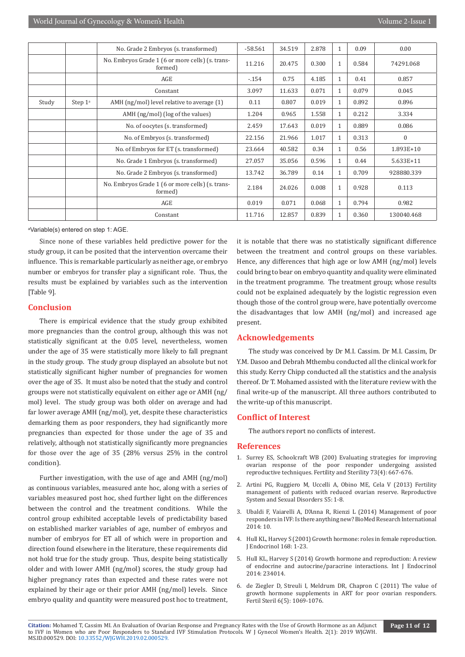|       |                     | No. Grade 2 Embryos (s. transformed)                        | $-58.561$ | 34.519 | 2.878 |              | 0.09  | 0.00         |
|-------|---------------------|-------------------------------------------------------------|-----------|--------|-------|--------------|-------|--------------|
|       |                     | No. Embryos Grade 1 (6 or more cells) (s. trans-<br>formed) | 11.216    | 20.475 | 0.300 | 1            | 0.584 | 74291.068    |
|       |                     | AGE                                                         | $-154$    | 0.75   | 4.185 | $\mathbf{1}$ | 0.41  | 0.857        |
|       |                     | Constant                                                    | 3.097     | 11.633 | 0.071 | $\mathbf{1}$ | 0.079 | 0.045        |
| Study | Step 1 <sup>a</sup> | AMH (ng/mol) level relative to average (1)                  | 0.11      | 0.807  | 0.019 | 1            | 0.892 | 0.896        |
|       |                     | AMH (ng/mol) (log of the values)                            | 1.204     | 0.965  | 1.558 | $\mathbf{1}$ | 0.212 | 3.334        |
|       |                     | No. of oocytes (s. transformed)                             | 2.459     | 17.643 | 0.019 | 1            | 0.889 | 0.086        |
|       |                     | No. of Embryos (s. transformed)                             | 22.156    | 21.966 | 1.017 | $\mathbf{1}$ | 0.313 | $\mathbf{0}$ |
|       |                     | No. of Embryos for ET (s. transformed)                      | 23.664    | 40.582 | 0.34  | $\mathbf{1}$ | 0.56  | 1.893E+10    |
|       |                     | No. Grade 1 Embryos (s. transformed)                        | 27.057    | 35.056 | 0.596 | 1            | 0.44  | 5.633E+11    |
|       |                     | No. Grade 2 Embryos (s. transformed)                        | 13.742    | 36.789 | 0.14  | 1            | 0.709 | 928880.339   |
|       |                     | No. Embryos Grade 1 (6 or more cells) (s. trans-<br>formed) | 2.184     | 24.026 | 0.008 | $\mathbf{1}$ | 0.928 | 0.113        |
|       |                     | AGE                                                         | 0.019     | 0.071  | 0.068 | $\mathbf{1}$ | 0.794 | 0.982        |
|       |                     | Constant                                                    | 11.716    | 12.857 | 0.839 | 1            | 0.360 | 130040.468   |

a Variable(s) entered on step 1: AGE.

Since none of these variables held predictive power for the study group, it can be posited that the intervention overcame their influence. This is remarkable particularly as neither age, or embryo number or embryos for transfer play a significant role. Thus, the results must be explained by variables such as the intervention [Table 9].

# **Conclusion**

There is empirical evidence that the study group exhibited more pregnancies than the control group, although this was not statistically significant at the 0.05 level, nevertheless, women under the age of 35 were statistically more likely to fall pregnant in the study group. The study group displayed an absolute but not statistically significant higher number of pregnancies for women over the age of 35. It must also be noted that the study and control groups were not statistically equivalent on either age or AMH (ng/ mol) level. The study group was both older on average and had far lower average AMH (ng/mol), yet, despite these characteristics demarking them as poor responders, they had significantly more pregnancies than expected for those under the age of 35 and relatively, although not statistically significantly more pregnancies for those over the age of 35 (28% versus 25% in the control condition).

Further investigation, with the use of age and AMH (ng/mol) as continuous variables, measured ante hoc, along with a series of variables measured post hoc, shed further light on the differences between the control and the treatment conditions. While the control group exhibited acceptable levels of predictability based on established marker variables of age, number of embryos and number of embryos for ET all of which were in proportion and direction found elsewhere in the literature, these requirements did not hold true for the study group. Thus, despite being statistically older and with lower AMH (ng/mol) scores, the study group had higher pregnancy rates than expected and these rates were not explained by their age or their prior AMH (ng/mol) levels. Since embryo quality and quantity were measured post hoc to treatment,

it is notable that there was no statistically significant difference between the treatment and control groups on these variables. Hence, any differences that high age or low AMH (ng/mol) levels could bring to bear on embryo quantity and quality were eliminated in the treatment programme. The treatment group; whose results could not be explained adequately by the logistic regression even though those of the control group were, have potentially overcome the disadvantages that low AMH (ng/mol) and increased age present.

# **Acknowledgements**

The study was conceived by Dr M.I. Cassim. Dr M.I. Cassim, Dr Y.M. Dasoo and Debrah Mthembu conducted all the clinical work for this study. Kerry Chipp conducted all the statistics and the analysis thereof. Dr T. Mohamed assisted with the literature review with the final write-up of the manuscript. All three authors contributed to the write-up of this manuscript.

#### **Conflict of Interest**

The authors report no conflicts of interest.

#### **References**

- 1. [Surrey ES, Schoolcraft WB \(200\) Evaluating strategies for improving](https://www.ncbi.nlm.nih.gov/pubmed/10731523) [ovarian response of the poor responder undergoing assisted](https://www.ncbi.nlm.nih.gov/pubmed/10731523) [reproductive techniques. Fertility and Sterility 73\(4\): 667-676.](https://www.ncbi.nlm.nih.gov/pubmed/10731523)
- 2. Artini PG, Ruggiero M, Uccelli A, Obino ME, Cela V (2013) Fertility management of patients with reduced ovarian reserve. Reproductive System and Sexual Disorders S5: 1-8.
- 3. [Ubaldi F, Vaiarelli A, D'Anna R, Rienzi L \(2014\) Management of poor](https://www.hindawi.com/journals/bmri/2014/352098/) [responders in IVF: Is there anything new? BioMed Research International](https://www.hindawi.com/journals/bmri/2014/352098/) [2014: 10.](https://www.hindawi.com/journals/bmri/2014/352098/)
- 4. [Hull KL, Harvey S \(2001\) Growth hormone: roles in female reproduction.](https://www.ncbi.nlm.nih.gov/pubmed/11139766) [J Endocrinol 168: 1-23.](https://www.ncbi.nlm.nih.gov/pubmed/11139766)
- 5. [Hull KL, Harvey S \(2014\) Growth hormone and reproduction: A review](https://www.ncbi.nlm.nih.gov/pubmed/25580121) [of endocrine and autocrine/paracrine interactions. Int J Endocrinol](https://www.ncbi.nlm.nih.gov/pubmed/25580121) [2014: 234014.](https://www.ncbi.nlm.nih.gov/pubmed/25580121)
- 6. [de Ziegler D, Streuli I, Meldrum DR, Chapron C \(2011\) The value of](https://www.ncbi.nlm.nih.gov/pubmed/22036051) [growth hormone supplements in ART for poor ovarian responders.](https://www.ncbi.nlm.nih.gov/pubmed/22036051) [Fertil Steril 6\(5\): 1069-1076.](https://www.ncbi.nlm.nih.gov/pubmed/22036051)